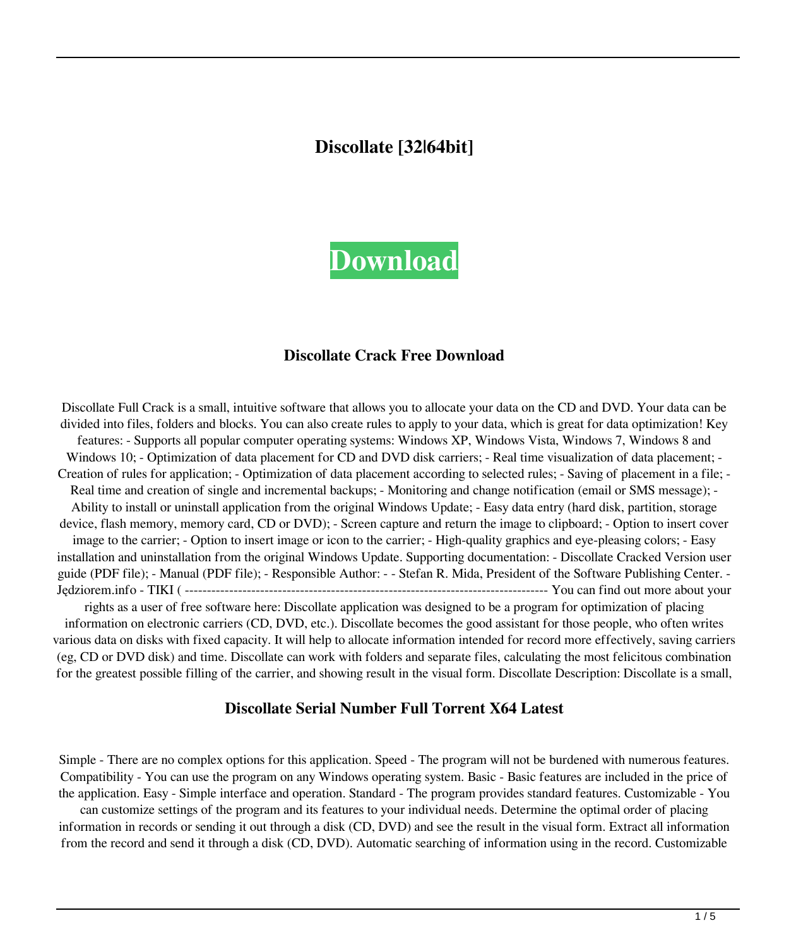# **Discollate [32|64bit]**



#### **Discollate Crack Free Download**

Discollate Full Crack is a small, intuitive software that allows you to allocate your data on the CD and DVD. Your data can be divided into files, folders and blocks. You can also create rules to apply to your data, which is great for data optimization! Key features: - Supports all popular computer operating systems: Windows XP, Windows Vista, Windows 7, Windows 8 and Windows 10; - Optimization of data placement for CD and DVD disk carriers; - Real time visualization of data placement; -Creation of rules for application; - Optimization of data placement according to selected rules; - Saving of placement in a file; - Real time and creation of single and incremental backups; - Monitoring and change notification (email or SMS message); -Ability to install or uninstall application from the original Windows Update; - Easy data entry (hard disk, partition, storage device, flash memory, memory card, CD or DVD); - Screen capture and return the image to clipboard; - Option to insert cover image to the carrier; - Option to insert image or icon to the carrier; - High-quality graphics and eye-pleasing colors; - Easy installation and uninstallation from the original Windows Update. Supporting documentation: - Discollate Cracked Version user guide (PDF file); - Manual (PDF file); - Responsible Author: - - Stefan R. Mida, President of the Software Publishing Center. - Jędziorem.info - TIKI ( ---------------------------------------------------------------------------------- You can find out more about your

rights as a user of free software here: Discollate application was designed to be a program for optimization of placing information on electronic carriers (CD, DVD, etc.). Discollate becomes the good assistant for those people, who often writes various data on disks with fixed capacity. It will help to allocate information intended for record more effectively, saving carriers (eg, CD or DVD disk) and time. Discollate can work with folders and separate files, calculating the most felicitous combination for the greatest possible filling of the carrier, and showing result in the visual form. Discollate Description: Discollate is a small,

#### **Discollate Serial Number Full Torrent X64 Latest**

Simple - There are no complex options for this application. Speed - The program will not be burdened with numerous features. Compatibility - You can use the program on any Windows operating system. Basic - Basic features are included in the price of the application. Easy - Simple interface and operation. Standard - The program provides standard features. Customizable - You

can customize settings of the program and its features to your individual needs. Determine the optimal order of placing information in records or sending it out through a disk (CD, DVD) and see the result in the visual form. Extract all information from the record and send it through a disk (CD, DVD). Automatic searching of information using in the record. Customizable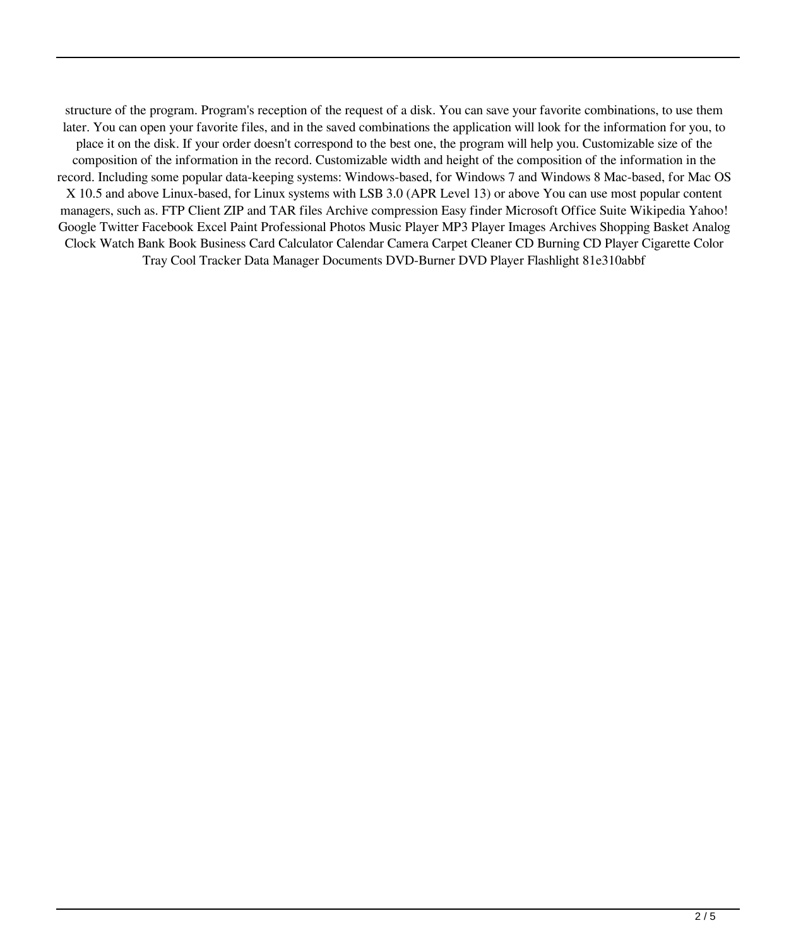structure of the program. Program's reception of the request of a disk. You can save your favorite combinations, to use them later. You can open your favorite files, and in the saved combinations the application will look for the information for you, to place it on the disk. If your order doesn't correspond to the best one, the program will help you. Customizable size of the composition of the information in the record. Customizable width and height of the composition of the information in the record. Including some popular data-keeping systems: Windows-based, for Windows 7 and Windows 8 Mac-based, for Mac OS X 10.5 and above Linux-based, for Linux systems with LSB 3.0 (APR Level 13) or above You can use most popular content managers, such as. FTP Client ZIP and TAR files Archive compression Easy finder Microsoft Office Suite Wikipedia Yahoo! Google Twitter Facebook Excel Paint Professional Photos Music Player MP3 Player Images Archives Shopping Basket Analog Clock Watch Bank Book Business Card Calculator Calendar Camera Carpet Cleaner CD Burning CD Player Cigarette Color Tray Cool Tracker Data Manager Documents DVD-Burner DVD Player Flashlight 81e310abbf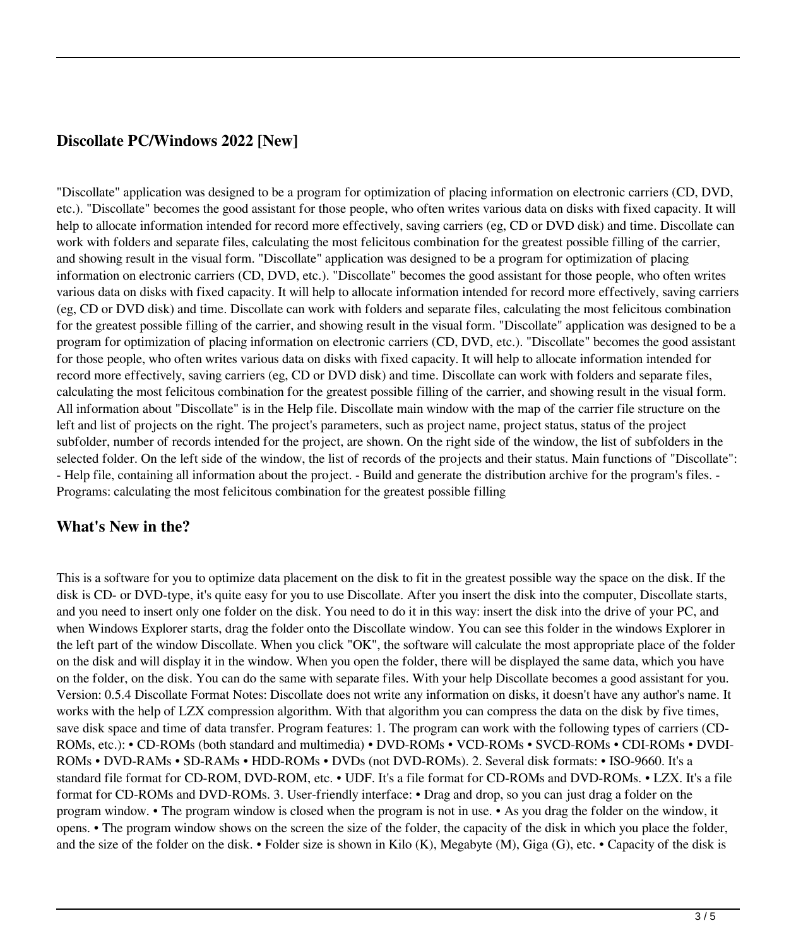## **Discollate PC/Windows 2022 [New]**

"Discollate" application was designed to be a program for optimization of placing information on electronic carriers (CD, DVD, etc.). "Discollate" becomes the good assistant for those people, who often writes various data on disks with fixed capacity. It will help to allocate information intended for record more effectively, saving carriers (eg, CD or DVD disk) and time. Discollate can work with folders and separate files, calculating the most felicitous combination for the greatest possible filling of the carrier, and showing result in the visual form. "Discollate" application was designed to be a program for optimization of placing information on electronic carriers (CD, DVD, etc.). "Discollate" becomes the good assistant for those people, who often writes various data on disks with fixed capacity. It will help to allocate information intended for record more effectively, saving carriers (eg, CD or DVD disk) and time. Discollate can work with folders and separate files, calculating the most felicitous combination for the greatest possible filling of the carrier, and showing result in the visual form. "Discollate" application was designed to be a program for optimization of placing information on electronic carriers (CD, DVD, etc.). "Discollate" becomes the good assistant for those people, who often writes various data on disks with fixed capacity. It will help to allocate information intended for record more effectively, saving carriers (eg, CD or DVD disk) and time. Discollate can work with folders and separate files, calculating the most felicitous combination for the greatest possible filling of the carrier, and showing result in the visual form. All information about "Discollate" is in the Help file. Discollate main window with the map of the carrier file structure on the left and list of projects on the right. The project's parameters, such as project name, project status, status of the project subfolder, number of records intended for the project, are shown. On the right side of the window, the list of subfolders in the selected folder. On the left side of the window, the list of records of the projects and their status. Main functions of "Discollate": - Help file, containing all information about the project. - Build and generate the distribution archive for the program's files. - Programs: calculating the most felicitous combination for the greatest possible filling

#### **What's New in the?**

This is a software for you to optimize data placement on the disk to fit in the greatest possible way the space on the disk. If the disk is CD- or DVD-type, it's quite easy for you to use Discollate. After you insert the disk into the computer, Discollate starts, and you need to insert only one folder on the disk. You need to do it in this way: insert the disk into the drive of your PC, and when Windows Explorer starts, drag the folder onto the Discollate window. You can see this folder in the windows Explorer in the left part of the window Discollate. When you click "OK", the software will calculate the most appropriate place of the folder on the disk and will display it in the window. When you open the folder, there will be displayed the same data, which you have on the folder, on the disk. You can do the same with separate files. With your help Discollate becomes a good assistant for you. Version: 0.5.4 Discollate Format Notes: Discollate does not write any information on disks, it doesn't have any author's name. It works with the help of LZX compression algorithm. With that algorithm you can compress the data on the disk by five times, save disk space and time of data transfer. Program features: 1. The program can work with the following types of carriers (CD-ROMs, etc.): • CD-ROMs (both standard and multimedia) • DVD-ROMs • VCD-ROMs • SVCD-ROMs • CDI-ROMs • DVDI-ROMs • DVD-RAMs • SD-RAMs • HDD-ROMs • DVDs (not DVD-ROMs). 2. Several disk formats: • ISO-9660. It's a standard file format for CD-ROM, DVD-ROM, etc. • UDF. It's a file format for CD-ROMs and DVD-ROMs. • LZX. It's a file format for CD-ROMs and DVD-ROMs. 3. User-friendly interface: • Drag and drop, so you can just drag a folder on the program window. • The program window is closed when the program is not in use. • As you drag the folder on the window, it opens. • The program window shows on the screen the size of the folder, the capacity of the disk in which you place the folder, and the size of the folder on the disk. • Folder size is shown in Kilo (K), Megabyte (M), Giga (G), etc. • Capacity of the disk is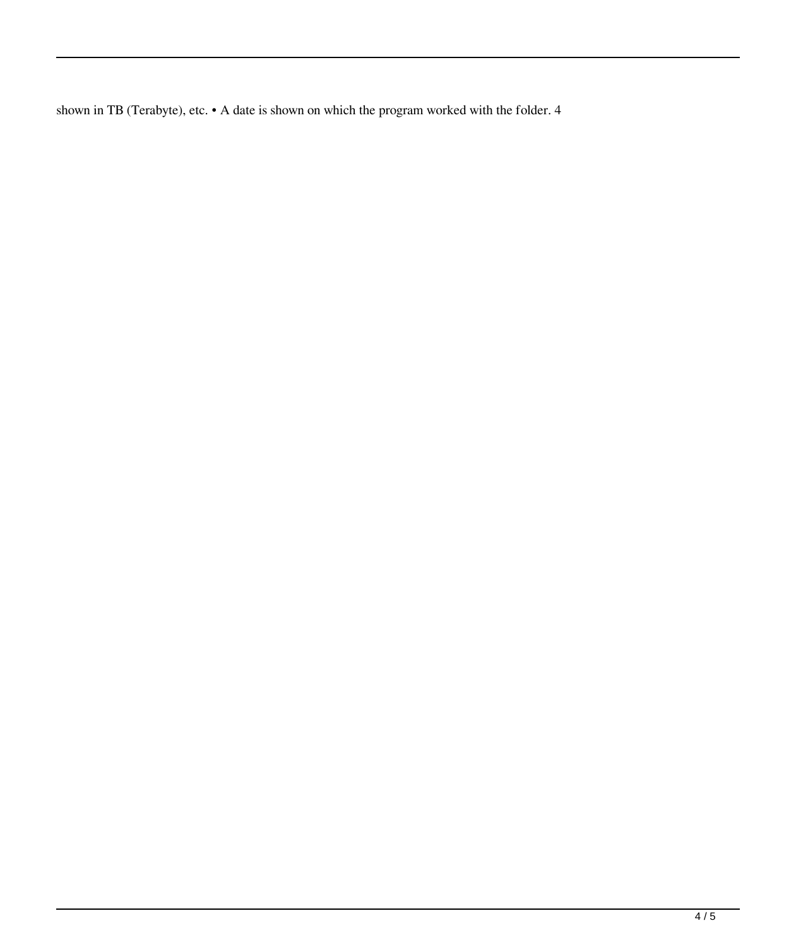shown in TB (Terabyte), etc. • A date is shown on which the program worked with the folder. 4